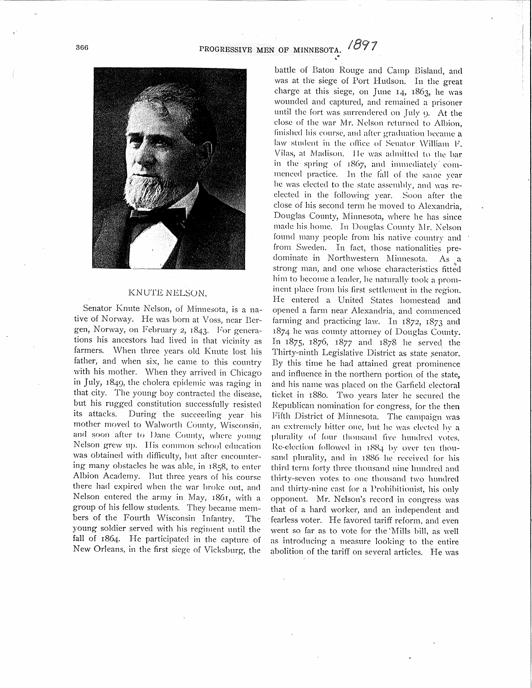## PROGRESSIVE MEN OF MINNESOTA.



## KNUTE NELSON.

Senator Knute Nelson, of Minnesota, is a native of Norway. He was born at Voss, near Bergen, Norway, on February 2, 1843. For generations his ancestors had lived in that vicinity as farmers. When three years old Knute lost his father, and when six, he came to this country with his mother. When they arrived in Chicago in July, 1849, the cholera epidemic was raging in that city. The young boy contracted the disease, but his rugged constitution successfully resisted its attacks. During the succeeding year his mother moved to Walworth County, Wisconsin, and soon after to Dane County, where young Nelson grew up. His common school edncation was obtained with difficulty, but after encountering many obstacles he was ahle, in 1858, to enter Albion Academy. But three years of his course there had expired when the war broke out, and Nelson entered the army in May, 1861, with a group of his fellow students. They became members of the Fourth Wisconsin Infantry. The young soldier served with his regiment until the fall of 1864. He participated in the capture of New Orleans, in the first siege of Vicksburg, the

battle of Baton Rouge and Camp Bisland, and was at the siege of Port Hudson. In the great charge at this siege, on June 14, 1863, he was wounded and captured, and remained a prisoner until the fort was surrendered on July  $\varphi$ . At the close of the war Mr. Nelson returned to Albion, finished his course, and after graduation became a law student in the office of Senator William F. Vilas, at Madison. .Ile was admitted to the bar in the spring of 1867, and immediately' commenced practice. In the fall of the same year he was elected to the state assembly, and was reelected in the following year. Soon after the close of his second term he 'moved to Alexandria, Douglas County, Minnesota, where he has since made his home. In Douglas County Mr. Nelson found many people from his native country and from Sweden. In fact, those nationalities predominate in Northwestern Minnesota. As a strong man, and one whose characteristics fitted him to become a leader, he naturally took a prominent place from his first settlement in the region. He entered a United States homestead and opened a farm near Alexandria, and commenced farming and practicing law. In 1872, 1873 and 1874 he was connty attorney of Douglas Connty. In 1875, 1876, 1877 and 1878 he served the Thirty-ninth Legislative District as state senator. By this time he had attained great prominence and inflnence in the northern portion of the state, and his name was placed on the Garfield electoral ticket in 1880. Two years later he secured the Eepnblican nomination for congress, for the then Fifth District of Minnesota. The campaign was an extremely bitter one, but he was elected by a plurality of four thousand five hundred votes. Re-election followed in  $1884$  by over ten thousand plurality, and in 1886 he received for his third term forty three thousand nine hundred and thirty-seven votes to one thousand two hundred and thirty-ninc cast for a Prohihitionist, his only opponent. Mr. Nelson's record in congress was that of a hard worker, and an independent and fearless voter. He favored tariff reform, and even went so far as to vote for the 'Mills bill, as well as introducing a measnre looking to the entire abolition of the tariff on several articles. He was